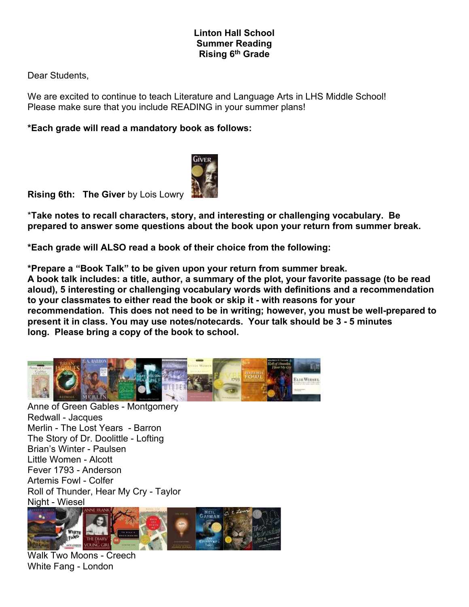## **Linton Hall School Summer Reading Rising 6 th Grade**

Dear Students,

We are excited to continue to teach Literature and Language Arts in LHS Middle School! Please make sure that you include READING in your summer plans!

**\*Each grade will read a mandatory book as follows:**



**Rising 6th: The Giver** by Lois Lowry

\***Take notes to recall characters, story, and interesting or challenging vocabulary. Be prepared to answer some questions about the book upon your return from summer break.**

**\*Each grade will ALSO read a book of their choice from the following:**

**\*Prepare a "Book Talk" to be given upon your return from summer break. A book talk includes: a title, author, a summary of the plot, your favorite passage (to be read aloud), 5 interesting or challenging vocabulary words with definitions and a recommendation to your classmates to either read the book or skip it - with reasons for your recommendation. This does not need to be in writing; however, you must be well-prepared to present it in class. You may use notes/notecards. Your talk should be 3 - 5 minutes long. Please bring a copy of the book to school.**



Anne of Green Gables - Montgomery Redwall - Jacques Merlin - The Lost Years - Barron The Story of Dr. Doolittle - Lofting Brian's Winter - Paulsen Little Women - Alcott Fever 1793 - Anderson Artemis Fowl - Colfer Roll of Thunder, Hear My Cry - Taylor Night - Wiesel



Walk Two Moons - Creech White Fang - London